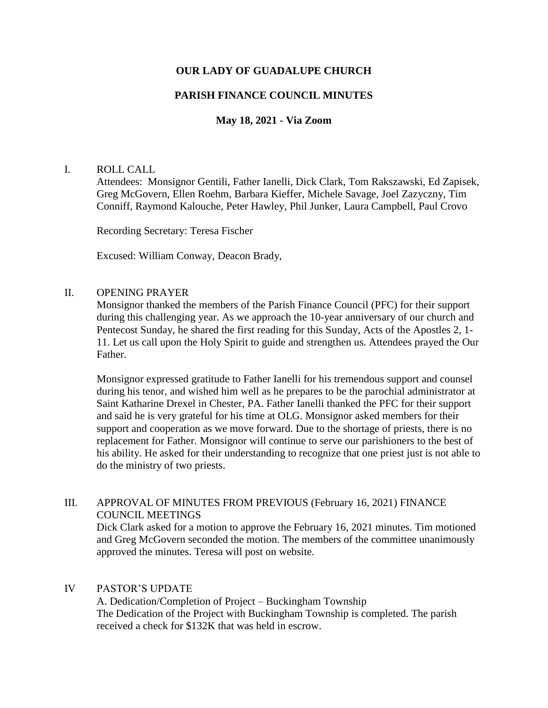# **OUR LADY OF GUADALUPE CHURCH**

# **PARISH FINANCE COUNCIL MINUTES**

# **May 18, 2021 - Via Zoom**

### I. ROLL CALL

Attendees: Monsignor Gentili, Father Ianelli, Dick Clark, Tom Rakszawski, Ed Zapisek, Greg McGovern, Ellen Roehm, Barbara Kieffer, Michele Savage, Joel Zazyczny, Tim Conniff, Raymond Kalouche, Peter Hawley, Phil Junker, Laura Campbell, Paul Crovo

Recording Secretary: Teresa Fischer

Excused: William Conway, Deacon Brady,

### II. OPENING PRAYER

Monsignor thanked the members of the Parish Finance Council (PFC) for their support during this challenging year. As we approach the 10-year anniversary of our church and Pentecost Sunday, he shared the first reading for this Sunday, Acts of the Apostles 2, 1- 11. Let us call upon the Holy Spirit to guide and strengthen us. Attendees prayed the Our Father.

Monsignor expressed gratitude to Father Ianelli for his tremendous support and counsel during his tenor, and wished him well as he prepares to be the parochial administrator at Saint Katharine Drexel in Chester, PA. Father Ianelli thanked the PFC for their support and said he is very grateful for his time at OLG. Monsignor asked members for their support and cooperation as we move forward. Due to the shortage of priests, there is no replacement for Father. Monsignor will continue to serve our parishioners to the best of his ability. He asked for their understanding to recognize that one priest just is not able to do the ministry of two priests.

# III. APPROVAL OF MINUTES FROM PREVIOUS (February 16, 2021) FINANCE COUNCIL MEETINGS

Dick Clark asked for a motion to approve the February 16, 2021 minutes. Tim motioned and Greg McGovern seconded the motion. The members of the committee unanimously approved the minutes. Teresa will post on website.

### IV PASTOR'S UPDATE

A. Dedication/Completion of Project – Buckingham Township The Dedication of the Project with Buckingham Township is completed. The parish received a check for \$132K that was held in escrow.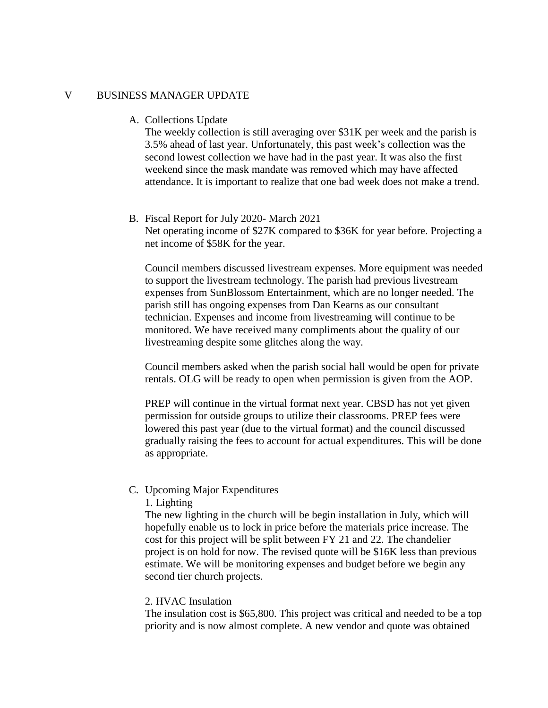### V BUSINESS MANAGER UPDATE

A. Collections Update

The weekly collection is still averaging over \$31K per week and the parish is 3.5% ahead of last year. Unfortunately, this past week's collection was the second lowest collection we have had in the past year. It was also the first weekend since the mask mandate was removed which may have affected attendance. It is important to realize that one bad week does not make a trend.

#### B. Fiscal Report for July 2020- March 2021

Net operating income of \$27K compared to \$36K for year before. Projecting a net income of \$58K for the year.

Council members discussed livestream expenses. More equipment was needed to support the livestream technology. The parish had previous livestream expenses from SunBlossom Entertainment, which are no longer needed. The parish still has ongoing expenses from Dan Kearns as our consultant technician. Expenses and income from livestreaming will continue to be monitored. We have received many compliments about the quality of our livestreaming despite some glitches along the way.

Council members asked when the parish social hall would be open for private rentals. OLG will be ready to open when permission is given from the AOP.

PREP will continue in the virtual format next year. CBSD has not yet given permission for outside groups to utilize their classrooms. PREP fees were lowered this past year (due to the virtual format) and the council discussed gradually raising the fees to account for actual expenditures. This will be done as appropriate.

### C. Upcoming Major Expenditures

### 1. Lighting

The new lighting in the church will be begin installation in July, which will hopefully enable us to lock in price before the materials price increase. The cost for this project will be split between FY 21 and 22. The chandelier project is on hold for now. The revised quote will be \$16K less than previous estimate. We will be monitoring expenses and budget before we begin any second tier church projects.

### 2. HVAC Insulation

The insulation cost is \$65,800. This project was critical and needed to be a top priority and is now almost complete. A new vendor and quote was obtained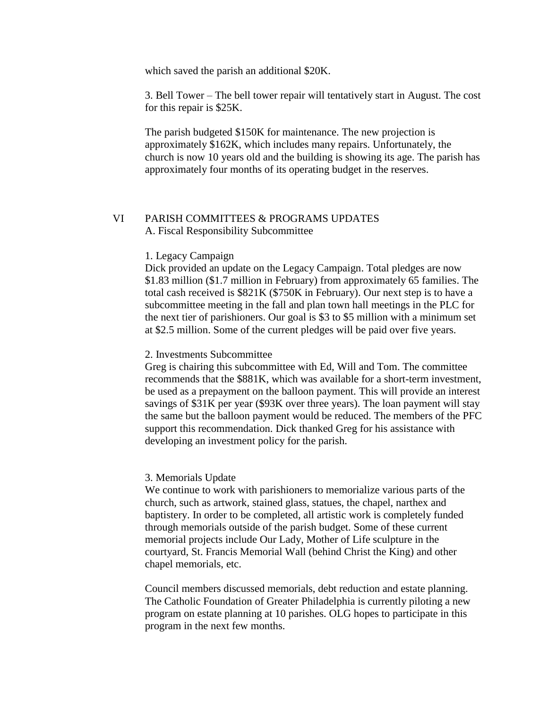which saved the parish an additional \$20K.

3. Bell Tower – The bell tower repair will tentatively start in August. The cost for this repair is \$25K.

The parish budgeted \$150K for maintenance. The new projection is approximately \$162K, which includes many repairs. Unfortunately, the church is now 10 years old and the building is showing its age. The parish has approximately four months of its operating budget in the reserves.

# VI PARISH COMMITTEES & PROGRAMS UPDATES A. Fiscal Responsibility Subcommittee

#### 1. Legacy Campaign

Dick provided an update on the Legacy Campaign. Total pledges are now \$1.83 million (\$1.7 million in February) from approximately 65 families. The total cash received is \$821K (\$750K in February). Our next step is to have a subcommittee meeting in the fall and plan town hall meetings in the PLC for the next tier of parishioners. Our goal is \$3 to \$5 million with a minimum set at \$2.5 million. Some of the current pledges will be paid over five years.

#### 2. Investments Subcommittee

Greg is chairing this subcommittee with Ed, Will and Tom. The committee recommends that the \$881K, which was available for a short-term investment, be used as a prepayment on the balloon payment. This will provide an interest savings of \$31K per year (\$93K over three years). The loan payment will stay the same but the balloon payment would be reduced. The members of the PFC support this recommendation. Dick thanked Greg for his assistance with developing an investment policy for the parish.

#### 3. Memorials Update

We continue to work with parishioners to memorialize various parts of the church, such as artwork, stained glass, statues, the chapel, narthex and baptistery. In order to be completed, all artistic work is completely funded through memorials outside of the parish budget. Some of these current memorial projects include Our Lady, Mother of Life sculpture in the courtyard, St. Francis Memorial Wall (behind Christ the King) and other chapel memorials, etc.

Council members discussed memorials, debt reduction and estate planning. The Catholic Foundation of Greater Philadelphia is currently piloting a new program on estate planning at 10 parishes. OLG hopes to participate in this program in the next few months.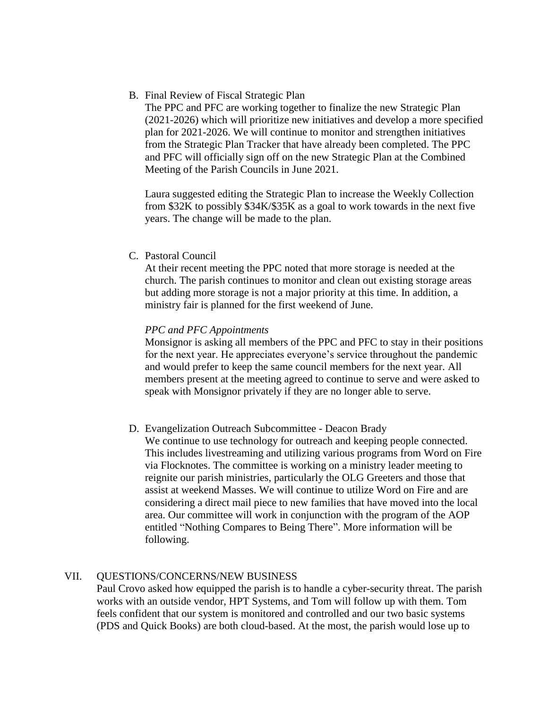B. Final Review of Fiscal Strategic Plan

The PPC and PFC are working together to finalize the new Strategic Plan (2021-2026) which will prioritize new initiatives and develop a more specified plan for 2021-2026. We will continue to monitor and strengthen initiatives from the Strategic Plan Tracker that have already been completed. The PPC and PFC will officially sign off on the new Strategic Plan at the Combined Meeting of the Parish Councils in June 2021.

Laura suggested editing the Strategic Plan to increase the Weekly Collection from \$32K to possibly \$34K/\$35K as a goal to work towards in the next five years. The change will be made to the plan.

C. Pastoral Council

At their recent meeting the PPC noted that more storage is needed at the church. The parish continues to monitor and clean out existing storage areas but adding more storage is not a major priority at this time. In addition, a ministry fair is planned for the first weekend of June.

### *PPC and PFC Appointments*

Monsignor is asking all members of the PPC and PFC to stay in their positions for the next year. He appreciates everyone's service throughout the pandemic and would prefer to keep the same council members for the next year. All members present at the meeting agreed to continue to serve and were asked to speak with Monsignor privately if they are no longer able to serve.

### D. Evangelization Outreach Subcommittee - Deacon Brady

We continue to use technology for outreach and keeping people connected. This includes livestreaming and utilizing various programs from Word on Fire via Flocknotes. The committee is working on a ministry leader meeting to reignite our parish ministries, particularly the OLG Greeters and those that assist at weekend Masses. We will continue to utilize Word on Fire and are considering a direct mail piece to new families that have moved into the local area. Our committee will work in conjunction with the program of the AOP entitled "Nothing Compares to Being There". More information will be following.

### VII. QUESTIONS/CONCERNS/NEW BUSINESS

Paul Crovo asked how equipped the parish is to handle a cyber-security threat. The parish works with an outside vendor, HPT Systems, and Tom will follow up with them. Tom feels confident that our system is monitored and controlled and our two basic systems (PDS and Quick Books) are both cloud-based. At the most, the parish would lose up to